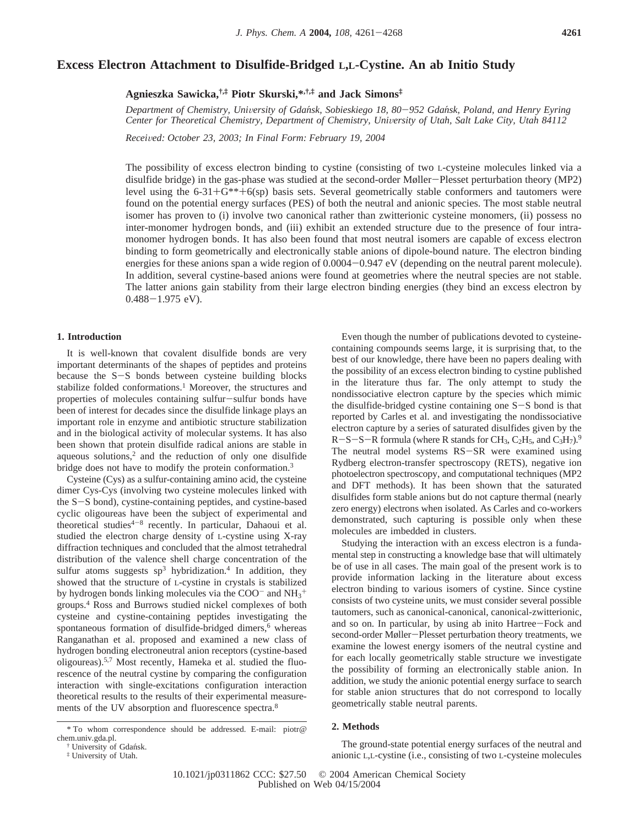# **Excess Electron Attachment to Disulfide-Bridged L,L-Cystine. An ab Initio Study**

**Agnieszka Sawicka,†,‡ Piotr Skurski,\*,†,‡ and Jack Simons‡**

*Department of Chemistry, Uni*V*ersity of Gdan*´*sk, Sobieskiego 18, 80*-*952 Gdan*´*sk, Poland, and Henry Eyring Center for Theoretical Chemistry, Department of Chemistry, University of Utah, Salt Lake City, Utah 84112* 

*Recei*V*ed: October 23, 2003; In Final Form: February 19, 2004*

The possibility of excess electron binding to cystine (consisting of two L-cysteine molecules linked via a disulfide bridge) in the gas-phase was studied at the second-order Møller-Plesset perturbation theory (MP2) level using the  $6-31+G$ \*\*+ $6$ (sp) basis sets. Several geometrically stable conformers and tautomers were found on the potential energy surfaces (PES) of both the neutral and anionic species. The most stable neutral isomer has proven to (i) involve two canonical rather than zwitterionic cysteine monomers, (ii) possess no inter-monomer hydrogen bonds, and (iii) exhibit an extended structure due to the presence of four intramonomer hydrogen bonds. It has also been found that most neutral isomers are capable of excess electron binding to form geometrically and electronically stable anions of dipole-bound nature. The electron binding energies for these anions span a wide region of  $0.0004 - 0.947$  eV (depending on the neutral parent molecule). In addition, several cystine-based anions were found at geometries where the neutral species are not stable. The latter anions gain stability from their large electron binding energies (they bind an excess electron by  $0.488 - 1.975$  eV).

# **1. Introduction**

It is well-known that covalent disulfide bonds are very important determinants of the shapes of peptides and proteins because the S-S bonds between cysteine building blocks stabilize folded conformations.<sup>1</sup> Moreover, the structures and properties of molecules containing sulfur-sulfur bonds have been of interest for decades since the disulfide linkage plays an important role in enzyme and antibiotic structure stabilization and in the biological activity of molecular systems. It has also been shown that protein disulfide radical anions are stable in aqueous solutions, $2$  and the reduction of only one disulfide bridge does not have to modify the protein conformation.3

Cysteine (Cys) as a sulfur-containing amino acid, the cysteine dimer Cys-Cys (involving two cysteine molecules linked with the S-S bond), cystine-containing peptides, and cystine-based cyclic oligoureas have been the subject of experimental and theoretical studies<sup> $4-8$ </sup> recently. In particular, Dahaoui et al. studied the electron charge density of L-cystine using X-ray diffraction techniques and concluded that the almost tetrahedral distribution of the valence shell charge concentration of the sulfur atoms suggests  $sp^3$  hybridization.<sup>4</sup> In addition, they showed that the structure of L-cystine in crystals is stabilized by hydrogen bonds linking molecules via the  $COO<sup>-</sup>$  and  $NH<sub>3</sub><sup>+</sup>$ groups.4 Ross and Burrows studied nickel complexes of both cysteine and cystine-containing peptides investigating the spontaneous formation of disulfide-bridged dimers,<sup>6</sup> whereas Ranganathan et al. proposed and examined a new class of hydrogen bonding electroneutral anion receptors (cystine-based oligoureas).5,7 Most recently, Hameka et al. studied the fluorescence of the neutral cystine by comparing the configuration interaction with single-excitations configuration interaction theoretical results to the results of their experimental measurements of the UV absorption and fluorescence spectra.8

Even though the number of publications devoted to cysteinecontaining compounds seems large, it is surprising that, to the best of our knowledge, there have been no papers dealing with the possibility of an excess electron binding to cystine published in the literature thus far. The only attempt to study the nondissociative electron capture by the species which mimic the disulfide-bridged cystine containing one S-S bond is that reported by Carles et al. and investigating the nondissociative electron capture by a series of saturated disulfides given by the  $R-S-S-R$  formula (where R stands for CH<sub>3</sub>, C<sub>2</sub>H<sub>5</sub>, and C<sub>3</sub>H<sub>7</sub>).<sup>9</sup> The neutral model systems RS-SR were examined using Rydberg electron-transfer spectroscopy (RETS), negative ion photoelectron spectroscopy, and computational techniques (MP2 and DFT methods). It has been shown that the saturated disulfides form stable anions but do not capture thermal (nearly zero energy) electrons when isolated. As Carles and co-workers demonstrated, such capturing is possible only when these molecules are imbedded in clusters.

Studying the interaction with an excess electron is a fundamental step in constructing a knowledge base that will ultimately be of use in all cases. The main goal of the present work is to provide information lacking in the literature about excess electron binding to various isomers of cystine. Since cystine consists of two cysteine units, we must consider several possible tautomers, such as canonical-canonical, canonical-zwitterionic, and so on. In particular, by using ab inito Hartree-Fock and second-order Møller-Plesset perturbation theory treatments, we examine the lowest energy isomers of the neutral cystine and for each locally geometrically stable structure we investigate the possibility of forming an electronically stable anion. In addition, we study the anionic potential energy surface to search for stable anion structures that do not correspond to locally geometrically stable neutral parents.

## **2. Methods**

The ground-state potential energy surfaces of the neutral and anionic L,L-cystine (i.e., consisting of two L-cysteine molecules

<sup>\*</sup> To whom correspondence should be addressed. E-mail: piotr@ chem.univ.gda.pl.

<sup>†</sup> University of Gdan´sk.

<sup>‡</sup> University of Utah.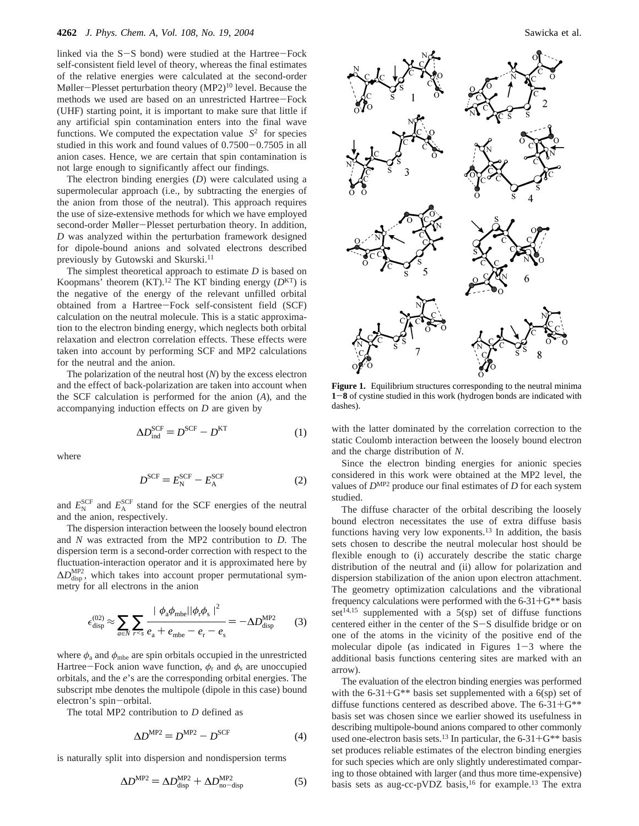linked via the  $S-S$  bond) were studied at the Hartree-Fock self-consistent field level of theory, whereas the final estimates of the relative energies were calculated at the second-order Møller-Plesset perturbation theory  $(MP2)^{10}$  level. Because the methods we used are based on an unrestricted Hartree-Fock (UHF) starting point, it is important to make sure that little if any artificial spin contamination enters into the final wave functions. We computed the expectation value  $\langle S^2 \rangle$  for species studied in this work and found values of 0.7500-0.7505 in all anion cases. Hence, we are certain that spin contamination is not large enough to significantly affect our findings.

The electron binding energies (*D*) were calculated using a supermolecular approach (i.e., by subtracting the energies of the anion from those of the neutral). This approach requires the use of size-extensive methods for which we have employed second-order Møller-Plesset perturbation theory. In addition, *D* was analyzed within the perturbation framework designed for dipole-bound anions and solvated electrons described previously by Gutowski and Skurski.11

The simplest theoretical approach to estimate *D* is based on Koopmans' theorem  $(KT)$ .<sup>12</sup> The KT binding energy  $(D<sup>KT</sup>)$  is the negative of the energy of the relevant unfilled orbital obtained from a Hartree-Fock self-consistent field (SCF) calculation on the neutral molecule. This is a static approximation to the electron binding energy, which neglects both orbital relaxation and electron correlation effects. These effects were taken into account by performing SCF and MP2 calculations for the neutral and the anion.

The polarization of the neutral host (*N*) by the excess electron and the effect of back-polarization are taken into account when the SCF calculation is performed for the anion (*A*), and the accompanying induction effects on *D* are given by

$$
\Delta D_{\text{ind}}^{\text{SCF}} = D^{\text{SCF}} - D^{\text{KT}} \tag{1}
$$

where

$$
D^{\text{SCF}} = E_{\text{N}}^{\text{SCF}} - E_{\text{A}}^{\text{SCF}} \tag{2}
$$

and  $E_{\rm N}^{\rm SCF}$  and  $E_{\rm A}^{\rm SCF}$  stand for the SCF energies of the neutral and the anion, respectively.

The dispersion interaction between the loosely bound electron and *N* was extracted from the MP2 contribution to *D*. The dispersion term is a second-order correction with respect to the fluctuation-interaction operator and it is approximated here by  $\Delta D_{\text{disp}}^{\text{MP2}}$ , which takes into account proper permutational symmetry for all electrons in the anion

$$
\epsilon_{\text{disp}}^{(02)} \approx \sum_{a \in N} \sum_{r < s} \frac{|\langle \phi_a \phi_{\text{mbe}} | |\phi_r \phi_s \rangle|^2}{e_a + e_{\text{mbe}} - e_r - e_s} = -\Delta D_{\text{disp}}^{\text{MP2}} \tag{3}
$$

where  $\phi_a$  and  $\phi_{mbe}$  are spin orbitals occupied in the unrestricted Hartree-Fock anion wave function,  $\phi_r$  and  $\phi_s$  are unoccupied orbitals, and the *e*'s are the corresponding orbital energies. The subscript mbe denotes the multipole (dipole in this case) bound electron's spin-orbital.

The total MP2 contribution to *D* defined as

$$
\Delta D^{\text{MP2}} = D^{\text{MP2}} - D^{\text{SCF}} \tag{4}
$$

is naturally split into dispersion and nondispersion terms

$$
\Delta D^{\text{MP2}} = \Delta D_{\text{disp}}^{\text{MP2}} + \Delta D_{\text{no-disp}}^{\text{MP2}} \tag{5}
$$



**Figure 1.** Equilibrium structures corresponding to the neutral minima **<sup>1</sup>**-**<sup>8</sup>** of cystine studied in this work (hydrogen bonds are indicated with dashes).

with the latter dominated by the correlation correction to the static Coulomb interaction between the loosely bound electron and the charge distribution of *N*.

Since the electron binding energies for anionic species considered in this work were obtained at the MP2 level, the values of *D*MP2 produce our final estimates of *D* for each system studied.

The diffuse character of the orbital describing the loosely bound electron necessitates the use of extra diffuse basis functions having very low exponents.13 In addition, the basis sets chosen to describe the neutral molecular host should be flexible enough to (i) accurately describe the static charge distribution of the neutral and (ii) allow for polarization and dispersion stabilization of the anion upon electron attachment. The geometry optimization calculations and the vibrational frequency calculations were performed with the 6-31+G\*\* basis set<sup>14,15</sup> supplemented with a  $5(sp)$  set of diffuse functions centered either in the center of the S-S disulfide bridge or on one of the atoms in the vicinity of the positive end of the molecular dipole (as indicated in Figures  $1-3$  where the additional basis functions centering sites are marked with an arrow).

The evaluation of the electron binding energies was performed with the 6-31+ $G^{**}$  basis set supplemented with a 6(sp) set of diffuse functions centered as described above. The  $6-31+G^{**}$ basis set was chosen since we earlier showed its usefulness in describing multipole-bound anions compared to other commonly used one-electron basis sets.<sup>13</sup> In particular, the  $6-31+G^{**}$  basis set produces reliable estimates of the electron binding energies for such species which are only slightly underestimated comparing to those obtained with larger (and thus more time-expensive) basis sets as aug-cc-pVDZ basis,<sup>16</sup> for example.<sup>13</sup> The extra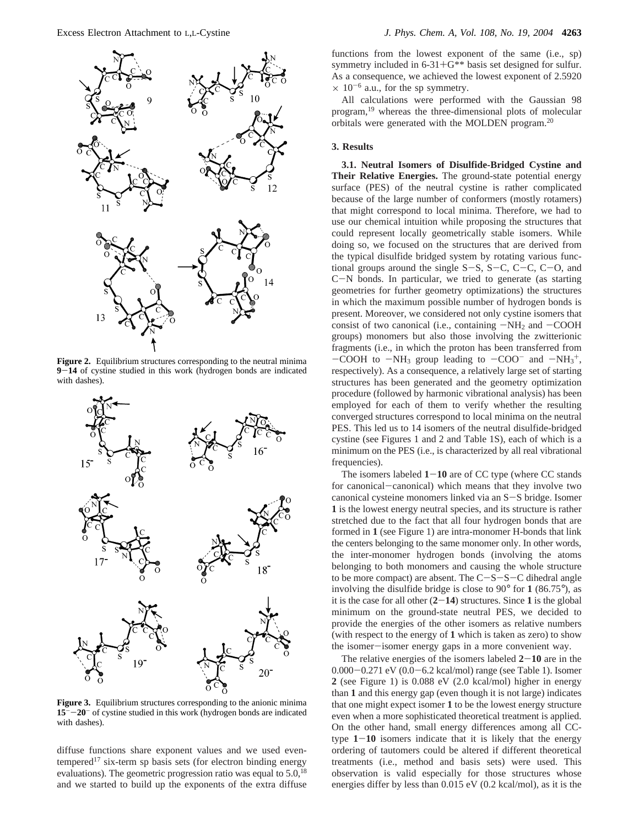

**Figure 2.** Equilibrium structures corresponding to the neutral minima **<sup>9</sup>**-**<sup>14</sup>** of cystine studied in this work (hydrogen bonds are indicated with dashes).



**Figure 3.** Equilibrium structures corresponding to the anionic minima **<sup>15</sup>**--**20**- of cystine studied in this work (hydrogen bonds are indicated with dashes).

diffuse functions share exponent values and we used eventempered<sup>17</sup> six-term sp basis sets (for electron binding energy evaluations). The geometric progression ratio was equal to  $5.0^{18}$ and we started to build up the exponents of the extra diffuse functions from the lowest exponent of the same (i.e., sp) symmetry included in  $6-31+G^{**}$  basis set designed for sulfur. As a consequence, we achieved the lowest exponent of 2.5920  $\times$  10<sup>-6</sup> a.u., for the sp symmetry.

All calculations were performed with the Gaussian 98 program,19 whereas the three-dimensional plots of molecular orbitals were generated with the MOLDEN program.20

## **3. Results**

**3.1. Neutral Isomers of Disulfide-Bridged Cystine and Their Relative Energies.** The ground-state potential energy surface (PES) of the neutral cystine is rather complicated because of the large number of conformers (mostly rotamers) that might correspond to local minima. Therefore, we had to use our chemical intuition while proposing the structures that could represent locally geometrically stable isomers. While doing so, we focused on the structures that are derived from the typical disulfide bridged system by rotating various functional groups around the single  $S-S$ ,  $S-C$ ,  $C-C$ ,  $C-O$ , and <sup>C</sup>-N bonds. In particular, we tried to generate (as starting geometries for further geometry optimizations) the structures in which the maximum possible number of hydrogen bonds is present. Moreover, we considered not only cystine isomers that consist of two canonical (i.e., containing  $-NH_2$  and  $-COOH$ groups) monomers but also those involving the zwitterionic fragments (i.e., in which the proton has been transferred from  $-COOH$  to  $-NH_3$  group leading to  $-COO^-$  and  $-NH_3^+$ ,<br>respectively). As a consequence, a relatively large set of starting respectively). As a consequence, a relatively large set of starting structures has been generated and the geometry optimization procedure (followed by harmonic vibrational analysis) has been employed for each of them to verify whether the resulting converged structures correspond to local minima on the neutral PES. This led us to 14 isomers of the neutral disulfide-bridged cystine (see Figures 1 and 2 and Table 1S), each of which is a minimum on the PES (i.e., is characterized by all real vibrational frequencies).

The isomers labeled  $1 - 10$  are of CC type (where CC stands for canonical-canonical) which means that they involve two canonical cysteine monomers linked via an S-S bridge. Isomer **1** is the lowest energy neutral species, and its structure is rather stretched due to the fact that all four hydrogen bonds that are formed in **1** (see Figure 1) are intra-monomer H-bonds that link the centers belonging to the same monomer only. In other words, the inter-monomer hydrogen bonds (involving the atoms belonging to both monomers and causing the whole structure to be more compact) are absent. The  $C-S-S-C$  dihedral angle involving the disulfide bridge is close to 90° for **1** (86.75°), as it is the case for all other  $(2-14)$  structures. Since 1 is the global minimum on the ground-state neutral PES, we decided to provide the energies of the other isomers as relative numbers (with respect to the energy of **1** which is taken as zero) to show the isomer-isomer energy gaps in a more convenient way.

The relative energies of the isomers labeled  $2-10$  are in the 0.000-0.271 eV (0.0-6.2 kcal/mol) range (see Table 1). Isomer **2** (see Figure 1) is 0.088 eV (2.0 kcal/mol) higher in energy than **1** and this energy gap (even though it is not large) indicates that one might expect isomer **1** to be the lowest energy structure even when a more sophisticated theoretical treatment is applied. On the other hand, small energy differences among all CCtype **<sup>1</sup>**-**<sup>10</sup>** isomers indicate that it is likely that the energy ordering of tautomers could be altered if different theoretical treatments (i.e., method and basis sets) were used. This observation is valid especially for those structures whose energies differ by less than 0.015 eV (0.2 kcal/mol), as it is the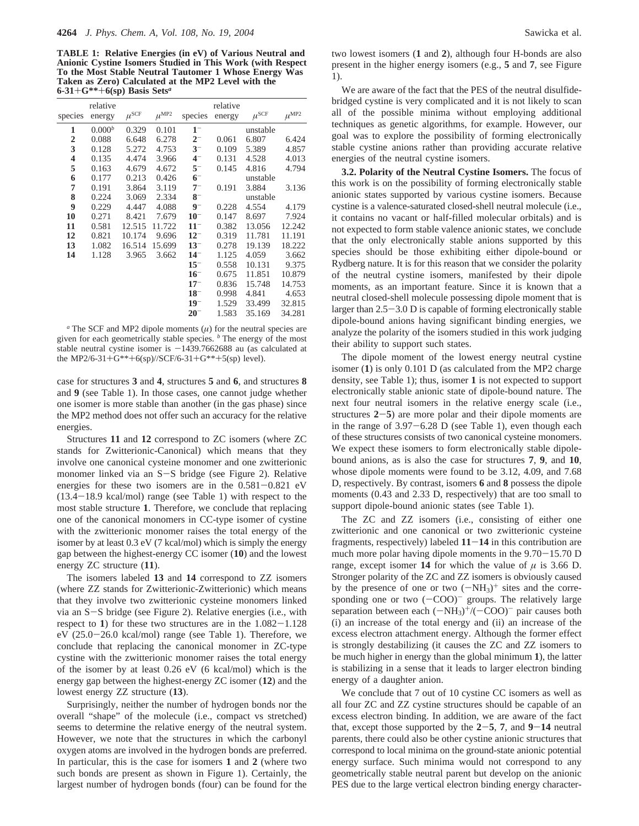**TABLE 1: Relative Energies (in eV) of Various Neutral and Anionic Cystine Isomers Studied in This Work (with Respect To the Most Stable Neutral Tautomer 1 Whose Energy Was Taken as Zero) Calculated at the MP2 Level with the 6-31**+**G\*\***+**6(sp) Basis Sets***<sup>a</sup>*

|                         | relative    |                    |                    |          | relative |                 |                    |
|-------------------------|-------------|--------------------|--------------------|----------|----------|-----------------|--------------------|
| species                 | energy      | $\mu^{\text{SCF}}$ | $\mu^{\text{MP2}}$ | species  | energy   | $\mu^{\rm SCF}$ | $\mu^{\text{MP2}}$ |
| 1                       | $0.000^{b}$ | 0.329              | 0.101              | $1^{-}$  |          | unstable        |                    |
| $\boldsymbol{2}$        | 0.088       | 6.648              | 6.278              | $2-$     | 0.061    | 6.807           | 6.424              |
| 3                       | 0.128       | 5.272              | 4.753              | $3-$     | 0.109    | 5.389           | 4.857              |
| $\overline{\mathbf{4}}$ | 0.135       | 4.474              | 3.966              | $4-$     | 0.131    | 4.528           | 4.013              |
| 5                       | 0.163       | 4.679              | 4.672              | $5-$     | 0.145    | 4.816           | 4.794              |
| 6                       | 0.177       | 0.213              | 0.426              | $6-$     |          | unstable        |                    |
| 7                       | 0.191       | 3.864              | 3.119              | $7^{-}$  | 0.191    | 3.884           | 3.136              |
| 8                       | 0.224       | 3.069              | 2.334              | $8-$     |          | unstable        |                    |
| 9                       | 0.229       | 4.447              | 4.088              | $9-$     | 0.228    | 4.554           | 4.179              |
| 10                      | 0.271       | 8.421              | 7.679              | $10^{-}$ | 0.147    | 8.697           | 7.924              |
| 11                      | 0.581       | 12.515             | 11.722             | $11^-$   | 0.382    | 13.056          | 12.242             |
| 12                      | 0.821       | 10.174             | 9.696              | $12^{-}$ | 0.319    | 11.781          | 11.191             |
| 13                      | 1.082       | 16.514             | 15.699             | $13^{-}$ | 0.278    | 19.139          | 18.222             |
| 14                      | 1.128       | 3.965              | 3.662              | $14^{-}$ | 1.125    | 4.059           | 3.662              |
|                         |             |                    |                    | $15^{-}$ | 0.558    | 10.131          | 9.375              |
|                         |             |                    |                    | $16^{-}$ | 0.675    | 11.851          | 10.879             |
|                         |             |                    |                    | $17^{-}$ | 0.836    | 15.748          | 14.753             |
|                         |             |                    |                    | $18^{-}$ | 0.998    | 4.841           | 4.653              |
|                         |             |                    |                    | $19^{-}$ | 1.529    | 33.499          | 32.815             |
|                         |             |                    |                    | $20^{-}$ | 1.583    | 35.169          | 34.281             |
|                         |             |                    |                    |          |          |                 |                    |

 $a$  The SCF and MP2 dipole moments  $(\mu)$  for the neutral species are given for each geometrically stable species. *<sup>b</sup>* The energy of the most stable neutral cystine isomer is  $-1439.7662688$  au (as calculated at the MP2/6-31+G\*\*+6(sp)//SCF/6-31+G\*\*+5(sp) level).

case for structures **3** and **4**, structures **5** and **6**, and structures **8** and **9** (see Table 1). In those cases, one cannot judge whether one isomer is more stable than another (in the gas phase) since the MP2 method does not offer such an accuracy for the relative energies.

Structures **11** and **12** correspond to ZC isomers (where ZC stands for Zwitterionic-Canonical) which means that they involve one canonical cysteine monomer and one zwitterionic monomer linked via an S-S bridge (see Figure 2). Relative energies for these two isomers are in the  $0.581 - 0.821$  eV (13.4-18.9 kcal/mol) range (see Table 1) with respect to the most stable structure **1**. Therefore, we conclude that replacing one of the canonical monomers in CC-type isomer of cystine with the zwitterionic monomer raises the total energy of the isomer by at least 0.3 eV (7 kcal/mol) which is simply the energy gap between the highest-energy CC isomer (**10**) and the lowest energy ZC structure (**11**).

The isomers labeled **13** and **14** correspond to ZZ isomers (where ZZ stands for Zwitterionic-Zwitterionic) which means that they involve two zwitterionic cysteine monomers linked via an S-S bridge (see Figure 2). Relative energies (i.e., with respect to **<sup>1</sup>**) for these two structures are in the 1.082-1.128 eV (25.0-26.0 kcal/mol) range (see Table 1). Therefore, we conclude that replacing the canonical monomer in ZC-type cystine with the zwitterionic monomer raises the total energy of the isomer by at least 0.26 eV (6 kcal/mol) which is the energy gap between the highest-energy ZC isomer (**12**) and the lowest energy ZZ structure (**13**).

Surprisingly, neither the number of hydrogen bonds nor the overall "shape" of the molecule (i.e., compact vs stretched) seems to determine the relative energy of the neutral system. However, we note that the structures in which the carbonyl oxygen atoms are involved in the hydrogen bonds are preferred. In particular, this is the case for isomers **1** and **2** (where two such bonds are present as shown in Figure 1). Certainly, the largest number of hydrogen bonds (four) can be found for the

two lowest isomers (**1** and **2**), although four H-bonds are also present in the higher energy isomers (e.g., **5** and **7**, see Figure 1).

We are aware of the fact that the PES of the neutral disulfidebridged cystine is very complicated and it is not likely to scan all of the possible minima without employing additional techniques as genetic algorithms, for example. However, our goal was to explore the possibility of forming electronically stable cystine anions rather than providing accurate relative energies of the neutral cystine isomers.

**3.2. Polarity of the Neutral Cystine Isomers.** The focus of this work is on the possibility of forming electronically stable anionic states supported by various cystine isomers. Because cystine is a valence-saturated closed-shell neutral molecule (i.e., it contains no vacant or half-filled molecular orbitals) and is not expected to form stable valence anionic states, we conclude that the only electronically stable anions supported by this species should be those exhibiting either dipole-bound or Rydberg nature. It is for this reason that we consider the polarity of the neutral cystine isomers, manifested by their dipole moments, as an important feature. Since it is known that a neutral closed-shell molecule possessing dipole moment that is larger than 2.5-3.0 D is capable of forming electronically stable dipole-bound anions having significant binding energies, we analyze the polarity of the isomers studied in this work judging their ability to support such states.

The dipole moment of the lowest energy neutral cystine isomer (**1**) is only 0.101 D (as calculated from the MP2 charge density, see Table 1); thus, isomer **1** is not expected to support electronically stable anionic state of dipole-bound nature. The next four neutral isomers in the relative energy scale (i.e., structures **<sup>2</sup>**-**5**) are more polar and their dipole moments are in the range of 3.97-6.28 D (see Table 1), even though each of these structures consists of two canonical cysteine monomers. We expect these isomers to form electronically stable dipolebound anions, as is also the case for structures **7**, **9**, and **10**, whose dipole moments were found to be 3.12, 4.09, and 7.68 D, respectively. By contrast, isomers **6** and **8** possess the dipole moments (0.43 and 2.33 D, respectively) that are too small to support dipole-bound anionic states (see Table 1).

The ZC and ZZ isomers (i.e., consisting of either one zwitterionic and one canonical or two zwitterionic cysteine fragments, respectively) labeled  $11-14$  in this contribution are much more polar having dipole moments in the  $9.70-15.70$  D range, except isomer **14** for which the value of  $\mu$  is 3.66 D. Stronger polarity of the ZC and ZZ isomers is obviously caused by the presence of one or two  $(-NH_3)^+$  sites and the corresponding one or two  $(-COO)^{-}$  groups. The relatively large separation between each  $(-NH_3)^+$ /( $-COO$ )<sup>-</sup> pair causes both (i) an increase of the total energy and (ii) an increase of the excess electron attachment energy. Although the former effect is strongly destabilizing (it causes the ZC and ZZ isomers to be much higher in energy than the global minimum **1**), the latter is stabilizing in a sense that it leads to larger electron binding energy of a daughter anion.

We conclude that 7 out of 10 cystine CC isomers as well as all four ZC and ZZ cystine structures should be capable of an excess electron binding. In addition, we are aware of the fact that, except those supported by the  $2-5$ , 7, and  $9-14$  neutral parents, there could also be other cystine anionic structures that correspond to local minima on the ground-state anionic potential energy surface. Such minima would not correspond to any geometrically stable neutral parent but develop on the anionic PES due to the large vertical electron binding energy character-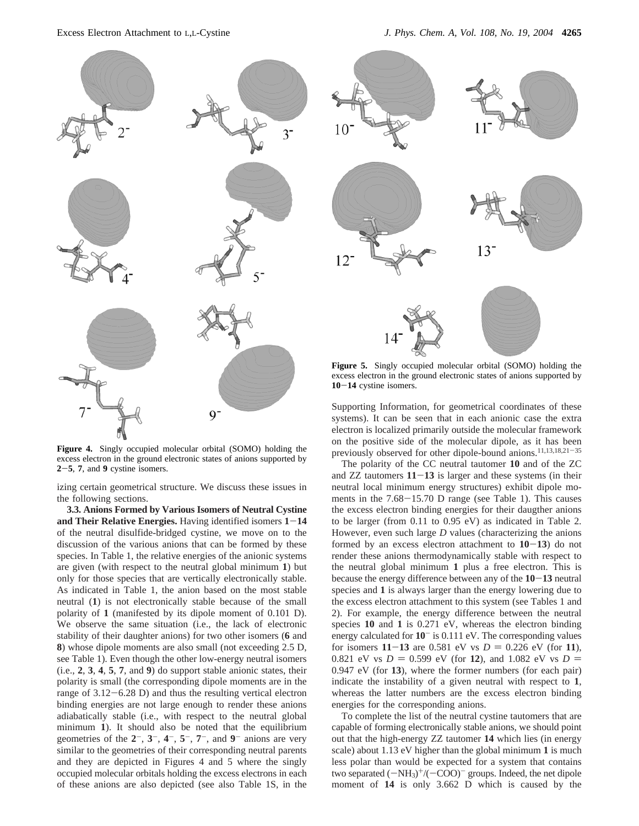

**Figure 4.** Singly occupied molecular orbital (SOMO) holding the excess electron in the ground electronic states of anions supported by **<sup>2</sup>**-**5**, **<sup>7</sup>**, and **<sup>9</sup>** cystine isomers.

izing certain geometrical structure. We discuss these issues in the following sections.

**3.3. Anions Formed by Various Isomers of Neutral Cystine and Their Relative Energies.** Having identified isomers **<sup>1</sup>**-**<sup>14</sup>** of the neutral disulfide-bridged cystine, we move on to the discussion of the various anions that can be formed by these species. In Table 1, the relative energies of the anionic systems are given (with respect to the neutral global minimum **1**) but only for those species that are vertically electronically stable. As indicated in Table 1, the anion based on the most stable neutral (**1**) is not electronically stable because of the small polarity of **1** (manifested by its dipole moment of 0.101 D). We observe the same situation (i.e., the lack of electronic stability of their daughter anions) for two other isomers (**6** and **8**) whose dipole moments are also small (not exceeding 2.5 D, see Table 1). Even though the other low-energy neutral isomers (i.e., **2**, **3**, **4**, **5**, **7**, and **9**) do support stable anionic states, their polarity is small (the corresponding dipole moments are in the range of 3.12-6.28 D) and thus the resulting vertical electron binding energies are not large enough to render these anions adiabatically stable (i.e., with respect to the neutral global minimum **1**). It should also be noted that the equilibrium geometries of the  $2^-$ ,  $3^-$ ,  $4^-$ ,  $5^-$ ,  $7^-$ , and  $9^-$  anions are very similar to the geometries of their corresponding neutral parents and they are depicted in Figures 4 and 5 where the singly occupied molecular orbitals holding the excess electrons in each of these anions are also depicted (see also Table 1S, in the



**Figure 5.** Singly occupied molecular orbital (SOMO) holding the excess electron in the ground electronic states of anions supported by **<sup>10</sup>**-**<sup>14</sup>** cystine isomers.

Supporting Information, for geometrical coordinates of these systems). It can be seen that in each anionic case the extra electron is localized primarily outside the molecular framework on the positive side of the molecular dipole, as it has been previously observed for other dipole-bound anions.<sup>11,13,18,21-35</sup>

The polarity of the CC neutral tautomer **10** and of the ZC and ZZ tautomers **<sup>11</sup>**-**<sup>13</sup>** is larger and these systems (in their neutral local minimum energy structures) exhibit dipole moments in the 7.68-15.70 D range (see Table 1). This causes the excess electron binding energies for their daugther anions to be larger (from 0.11 to 0.95 eV) as indicated in Table 2. However, even such large *D* values (characterizing the anions formed by an excess electron attachment to **<sup>10</sup>**-**13**) do not render these anions thermodynamically stable with respect to the neutral global minimum **1** plus a free electron. This is because the energy difference between any of the **<sup>10</sup>**-**<sup>13</sup>** neutral species and **1** is always larger than the energy lowering due to the excess electron attachment to this system (see Tables 1 and 2). For example, the energy difference between the neutral species **10** and **1** is 0.271 eV, whereas the electron binding energy calculated for **10**- is 0.111 eV. The corresponding values for isomers  $11 - 13$  are 0.581 eV vs  $D = 0.226$  eV (for 11), 0.821 eV vs  $D = 0.599$  eV (for 12), and 1.082 eV vs  $D =$ 0.947 eV (for **13**), where the former numbers (for each pair) indicate the instability of a given neutral with respect to **1**, whereas the latter numbers are the excess electron binding energies for the corresponding anions.

To complete the list of the neutral cystine tautomers that are capable of forming electronically stable anions, we should point out that the high-energy ZZ tautomer **14** which lies (in energy scale) about 1.13 eV higher than the global minimum **1** is much less polar than would be expected for a system that contains two separated  $(-NH_3)^+$ /( $-COO$ )<sup>-</sup> groups. Indeed, the net dipole moment of **14** is only 3.662 D which is caused by the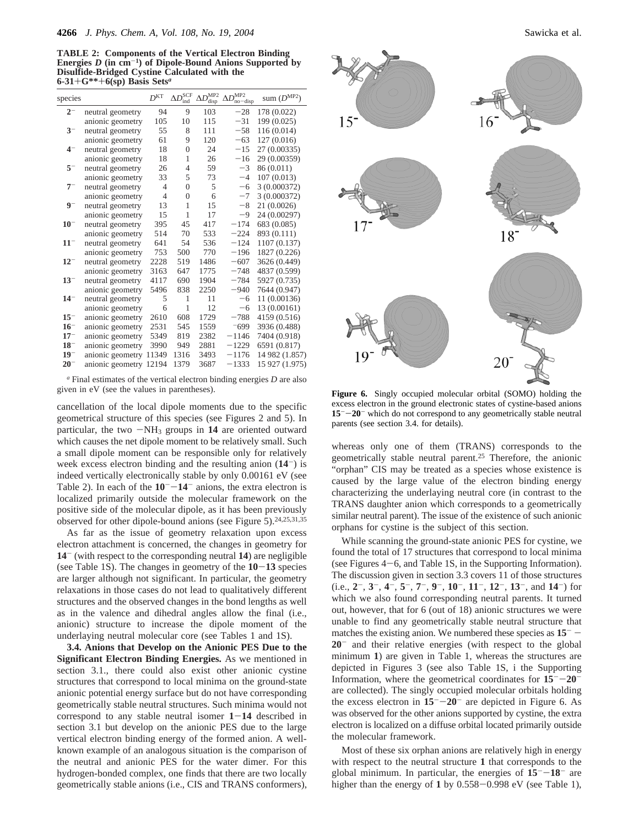**TABLE 2: Components of the Vertical Electron Binding Energies** *D* **(in cm**-**1) of Dipole-Bound Anions Supported by Disulfide-Bridged Cystine Calculated with the 6-31**+**G\*\***+**6(sp) Basis Sets***<sup>a</sup>*

| species  |                  | D <sup>KT</sup> | $\Delta D^{\text{SCF}}$<br>ind | $\Delta D^{\text{MP2}}$<br>disp | $\Delta D^{\text{MP2}}$<br>no-disp | sum $(D^{MP2})$ |
|----------|------------------|-----------------|--------------------------------|---------------------------------|------------------------------------|-----------------|
| $2-$     | neutral geometry | 94              | 9                              | 103                             | $-28$                              | 178 (0.022)     |
|          | anionic geometry | 105             | 10                             | 115                             | $-31$                              | 199 (0.025)     |
| $3^{-}$  | neutral geometry | 55              | 8                              | 111                             | $-58$                              | 116 (0.014)     |
|          | anionic geometry | 61              | 9                              | 120                             | $-63$                              | 127(0.016)      |
| $4-$     | neutral geometry | 18              | $\theta$                       | 24                              | $-15$                              | 27 (0.00335)    |
|          | anionic geometry | 18              | 1                              | 26                              | $-16$                              | 29 (0.00359)    |
| $5-$     | neutral geometry | 26              | 4                              | 59                              | $-3$                               | 86 (0.011)      |
|          | anionic geometry | 33              | 5                              | 73                              | $-4$                               | 107 (0.013)     |
| $7^{-}$  | neutral geometry | $\overline{4}$  | $\Omega$                       | 5                               | $-6$                               | 3 (0.000372)    |
|          | anionic geometry | $\overline{4}$  | $\theta$                       | 6                               | $-7$                               | 3 (0.000372)    |
| $9-$     | neutral geometry | 13              | 1                              | 15                              | $-8$                               | 21(0.0026)      |
|          | anionic geometry | 15              | 1                              | 17                              | -9                                 | 24 (0.00297)    |
| $10^{-}$ | neutral geometry | 395             | 45                             | 417                             | $-174$                             | 683 (0.085)     |
|          | anionic geometry | 514             | 70                             | 533                             | $-224$                             | 893 (0.111)     |
| $11^-$   | neutral geometry | 641             | 54                             | 536                             | $-124$                             | 1107 (0.137)    |
|          | anionic geometry | 753             | 500                            | 770                             | $-196$                             | 1827 (0.226)    |
| $12^{-}$ | neutral geometry | 2228            | 519                            | 1486                            | $-607$                             | 3626 (0.449)    |
|          | anionic geometry | 3163            | 647                            | 1775                            | $-748$                             | 4837 (0.599)    |
| $13^{-}$ | neutral geometry | 4117            | 690                            | 1904                            | $-784$                             | 5927 (0.735)    |
|          | anionic geometry | 5496            | 838                            | 2250                            | $-940$                             | 7644 (0.947)    |
| $14^{-}$ | neutral geometry | 5               | 1                              | 11                              | $-6$                               | 11 (0.00136)    |
|          | anionic geometry | 6               | 1                              | 12                              | $-6$                               | 13 (0.00161)    |
| $15^{-}$ | anionic geometry | 2610            | 608                            | 1729                            | $-788$                             | 4159 (0.516)    |
| $16^{-}$ | anionic geometry | 2531            | 545                            | 1559                            | $-699$                             | 3936 (0.488)    |
| $17^{-}$ | anionic geometry | 5349            | 819                            | 2382                            | $-1146$                            | 7404 (0.918)    |
| $18^{-}$ | anionic geometry | 3990            | 949                            | 2881                            | $-1229$                            | 6591 (0.817)    |
| $19^{-}$ | anionic geometry | 11349           | 1316                           | 3493                            | $-1176$                            | 14 982 (1.857)  |
| $20^{-}$ | anionic geometry | 12194           | 1379                           | 3687                            | $-1333$                            | 15 927 (1.975)  |
|          |                  |                 |                                |                                 |                                    |                 |

*<sup>a</sup>* Final estimates of the vertical electron binding energies *D* are also given in eV (see the values in parentheses). **Figure 6.** Singly occupied molecular orbital (SOMO) holding the

cancellation of the local dipole moments due to the specific geometrical structure of this species (see Figures 2 and 5). In particular, the two  $-NH_3$  groups in 14 are oriented outward which causes the net dipole moment to be relatively small. Such a small dipole moment can be responsible only for relatively week excess electron binding and the resulting anion (**14**-) is indeed vertically electronically stable by only 0.00161 eV (see Table 2). In each of the  $10^{-}$ - $14^{-}$  anions, the extra electron is localized primarily outside the molecular framework on the positive side of the molecular dipole, as it has been previously observed for other dipole-bound anions (see Figure 5).24,25,31,35

As far as the issue of geometry relaxation upon excess electron attachment is concerned, the changes in geometry for **14**- (with respect to the corresponding neutral **14**) are negligible (see Table 1S). The changes in geometry of the **<sup>10</sup>**-**<sup>13</sup>** species are larger although not significant. In particular, the geometry relaxations in those cases do not lead to qualitatively different structures and the observed changes in the bond lengths as well as in the valence and dihedral angles allow the final (i.e., anionic) structure to increase the dipole moment of the underlaying neutral molecular core (see Tables 1 and 1S).

**3.4. Anions that Develop on the Anionic PES Due to the Significant Electron Binding Energies.** As we mentioned in section 3.1., there could also exist other anionic cystine structures that correspond to local minima on the ground-state anionic potential energy surface but do not have corresponding geometrically stable neutral structures. Such minima would not correspond to any stable neutral isomer **<sup>1</sup>**-**<sup>14</sup>** described in section 3.1 but develop on the anionic PES due to the large vertical electron binding energy of the formed anion. A wellknown example of an analogous situation is the comparison of the neutral and anionic PES for the water dimer. For this hydrogen-bonded complex, one finds that there are two locally geometrically stable anions (i.e., CIS and TRANS conformers),



excess electron in the ground electronic states of cystine-based anions **<sup>15</sup>**--**20**- which do not correspond to any geometrically stable neutral parents (see section 3.4. for details).

whereas only one of them (TRANS) corresponds to the geometrically stable neutral parent.25 Therefore, the anionic "orphan" CIS may be treated as a species whose existence is caused by the large value of the electron binding energy characterizing the underlaying neutral core (in contrast to the TRANS daughter anion which corresponds to a geometrically similar neutral parent). The issue of the existence of such anionic orphans for cystine is the subject of this section.

While scanning the ground-state anionic PES for cystine, we found the total of 17 structures that correspond to local minima (see Figures 4-6, and Table 1S, in the Supporting Information). The discussion given in section 3.3 covers 11 of those structures (i.e., **2**-, **3**-, **4**-, **5**-, **7**-, **9**-, **10**-, **11**-, **12**-, **13**-, and **14**-) for which we also found corresponding neutral parents. It turned out, however, that for 6 (out of 18) anionic structures we were unable to find any geometrically stable neutral structure that matches the existing anion. We numbered these species as  $15<sup>-</sup>$ **20**- and their relative energies (with respect to the global minimum **1**) are given in Table 1, whereas the structures are depicted in Figures 3 (see also Table 1S, i the Supporting Information, where the geometrical coordinates for  $15^{-}$ - $20^{-}$ are collected). The singly occupied molecular orbitals holding the excess electron in  $15^- - 20^-$  are depicted in Figure 6. As was observed for the other anions supported by cystine, the extra electron is localized on a diffuse orbital located primarily outside the molecular framework.

Most of these six orphan anions are relatively high in energy with respect to the neutral structure **1** that corresponds to the global minimum. In particular, the energies of  $15^{-}-18^{-}$  are higher than the energy of 1 by 0.558-0.998 eV (see Table 1),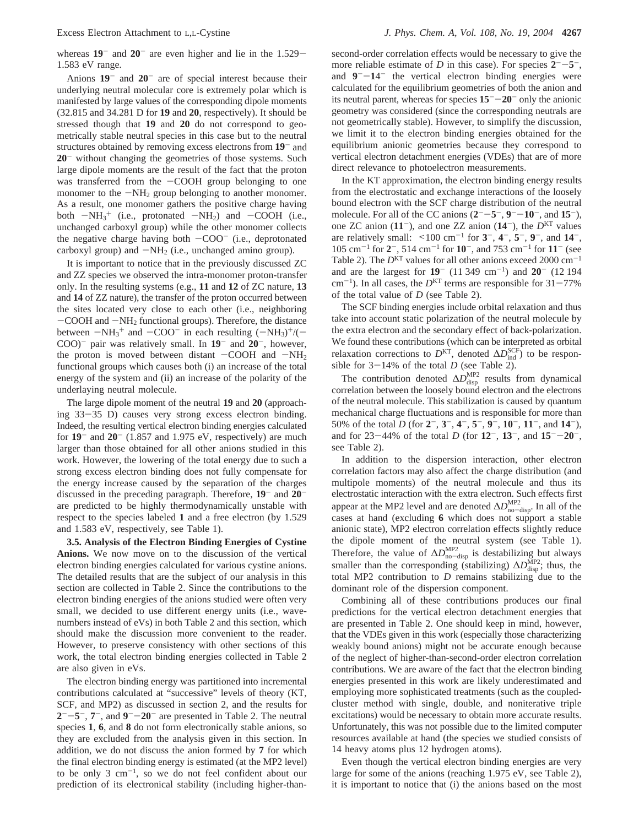whereas  $19^-$  and  $20^-$  are even higher and lie in the  $1.529-$ 1.583 eV range.

Anions **19**- and **20**- are of special interest because their underlying neutral molecular core is extremely polar which is manifested by large values of the corresponding dipole moments (32.815 and 34.281 D for **19** and **20**, respectively). It should be stressed though that **19** and **20** do not correspond to geometrically stable neutral species in this case but to the neutral structures obtained by removing excess electrons from **19**- and **20**- without changing the geometries of those systems. Such large dipole moments are the result of the fact that the proton was transferred from the  $-COOH$  group belonging to one monomer to the  $-NH_2$  group belonging to another monomer. As a result, one monomer gathers the positive charge having both  $-NH_3^+$  (i.e., protonated  $-NH_2$ ) and  $-COOH$  (i.e., unchanged carboxyl group) while the other monomer collects unchanged carboxyl group) while the other monomer collects the negative charge having both  $-COO^-$  (i.e., deprotonated carboxyl group) and  $-NH_2$  (i.e., unchanged amino group).

It is important to notice that in the previously discussed ZC and ZZ species we observed the intra-monomer proton-transfer only. In the resulting systems (e.g., **11** and **12** of ZC nature, **13** and **14** of ZZ nature), the transfer of the proton occurred between the sites located very close to each other (i.e., neighboring  $-COOH$  and  $-NH<sub>2</sub>$  functional groups). Therefore, the distance between  $-NH_3^+$  and  $-COO^-$  in each resulting  $(-NH_3)^+/(-$ <br>COO<sup>-</sup> pair was relatively small. In 19<sup>-</sup> and 20<sup>-</sup> however COO)- pair was relatively small. In **19**- and **20**-, however, the proton is moved between distant  $-COOH$  and  $-NH<sub>2</sub>$ functional groups which causes both (i) an increase of the total energy of the system and (ii) an increase of the polarity of the underlaying neutral molecule.

The large dipole moment of the neutral **19** and **20** (approaching 33-35 D) causes very strong excess electron binding. Indeed, the resulting vertical electron binding energies calculated for  $19^-$  and  $20^-$  (1.857 and 1.975 eV, respectively) are much larger than those obtained for all other anions studied in this work. However, the lowering of the total energy due to such a strong excess electron binding does not fully compensate for the energy increase caused by the separation of the charges discussed in the preceding paragraph. Therefore, **19**- and **20** are predicted to be highly thermodynamically unstable with respect to the species labeled **1** and a free electron (by 1.529 and 1.583 eV, respectively, see Table 1).

**3.5. Analysis of the Electron Binding Energies of Cystine Anions.** We now move on to the discussion of the vertical electron binding energies calculated for various cystine anions. The detailed results that are the subject of our analysis in this section are collected in Table 2. Since the contributions to the electron binding energies of the anions studied were often very small, we decided to use different energy units (i.e., wavenumbers instead of eVs) in both Table 2 and this section, which should make the discussion more convenient to the reader. However, to preserve consistency with other sections of this work, the total electron binding energies collected in Table 2 are also given in eVs.

The electron binding energy was partitioned into incremental contributions calculated at "successive" levels of theory (KT, SCF, and MP2) as discussed in section 2, and the results for  $2^-$ - $5^-$ ,  $7^-$ , and  $9^-$ - $20^-$  are presented in Table 2. The neutral species **1**, **6**, and **8** do not form electronically stable anions, so they are excluded from the analysis given in this section. In addition, we do not discuss the anion formed by **7** for which the final electron binding energy is estimated (at the MP2 level) to be only  $3 \text{ cm}^{-1}$ , so we do not feel confident about our prediction of its electronical stability (including higher-than-

second-order correlation effects would be necessary to give the more reliable estimate of *D* in this case). For species  $2^{--}$  – 5<sup>-</sup>, and  $9 - 14$  the vertical electron binding energies were calculated for the equilibrium geometries of both the anion and its neutral parent, whereas for species **<sup>15</sup>**--**20**- only the anionic geometry was considered (since the corresponding neutrals are not geometrically stable). However, to simplify the discussion, we limit it to the electron binding energies obtained for the equilibrium anionic geometries because they correspond to vertical electron detachment energies (VDEs) that are of more direct relevance to photoelectron measurements.

In the KT approximation, the electron binding energy results from the electrostatic and exchange interactions of the loosely bound electron with the SCF charge distribution of the neutral molecule. For all of the CC anions  $(2^- -5^-, 9^- -10^-,$  and  $15^-)$ , one ZC anion  $(11^{-})$ , and one ZZ anion  $(14^{-})$ , the  $D<sup>KT</sup>$  values are relatively small: <sup>&</sup>lt;100 cm-<sup>1</sup> for **<sup>3</sup>**-, **<sup>4</sup>**-, **<sup>5</sup>**-, **<sup>9</sup>**-, and **<sup>14</sup>**-, 105 cm-<sup>1</sup> for **2**-, 514 cm-<sup>1</sup> for **10**-, and 753 cm-<sup>1</sup> for **11**- (see Table 2). The  $D<sup>KT</sup>$  values for all other anions exceed 2000 cm<sup>-1</sup> and are the largest for **19**- (11 349 cm-1) and **20**- (12 194  $cm^{-1}$ ). In all cases, the  $D<sup>KT</sup>$  terms are responsible for  $31-77\%$ of the total value of *D* (see Table 2).

The SCF binding energies include orbital relaxation and thus take into account static polarization of the neutral molecule by the extra electron and the secondary effect of back-polarization. We found these contributions (which can be interpreted as orbital relaxation corrections to  $D^{KT}$ , denoted  $\Delta D_{ind}^{SCF}$ ) to be responsible for  $3-14\%$  of the total *D* (see Table 2).

The contribution denoted  $\Delta D_{\text{disp}}^{\text{MP2}}$  results from dynamical correlation between the loosely bound electron and the electrons of the neutral molecule. This stabilization is caused by quantum mechanical charge fluctuations and is responsible for more than 50% of the total *D* (for **2**-, **3**-, **4**-, **5**-, **9**-, **10**-, **11**-, and **14**-), and for 23-44% of the total *<sup>D</sup>* (for **<sup>12</sup>**-, **<sup>13</sup>**-, and **<sup>15</sup>**--**20**-, see Table 2).

In addition to the dispersion interaction, other electron correlation factors may also affect the charge distribution (and multipole moments) of the neutral molecule and thus its electrostatic interaction with the extra electron. Such effects first appear at the MP2 level and are denoted  $\Delta D_{\text{no-disp}}^{\text{MP2}}$ . In all of the cases at hand (excluding 6 which does not support a stable cases at hand (excluding **6** which does not support a stable anionic state), MP2 electron correlation effects slightly reduce the dipole moment of the neutral system (see Table 1). Therefore, the value of  $\Delta D_{\text{m}-\text{disp}}^{\text{MP2}}$  is destabilizing but always<br>complex than the corresponding (other idea)  $\Delta D_{\text{MP2}}^{\text{MP2}}$ , thus the smaller than the corresponding (stabilizing)  $\Delta D_{\text{disp}}^{\text{MP2}}$ ; thus, the total MP2 contribution to *D* remains stabilizing due to the dominant role of the dispersion component.

Combining all of these contributions produces our final predictions for the vertical electron detachment energies that are presented in Table 2. One should keep in mind, however, that the VDEs given in this work (especially those characterizing weakly bound anions) might not be accurate enough because of the neglect of higher-than-second-order electron correlation contributions. We are aware of the fact that the electron binding energies presented in this work are likely underestimated and employing more sophisticated treatments (such as the coupledcluster method with single, double, and noniterative triple excitations) would be necessary to obtain more accurate results. Unfortunately, this was not possible due to the limited computer resources available at hand (the species we studied consists of 14 heavy atoms plus 12 hydrogen atoms).

Even though the vertical electron binding energies are very large for some of the anions (reaching 1.975 eV, see Table 2), it is important to notice that (i) the anions based on the most